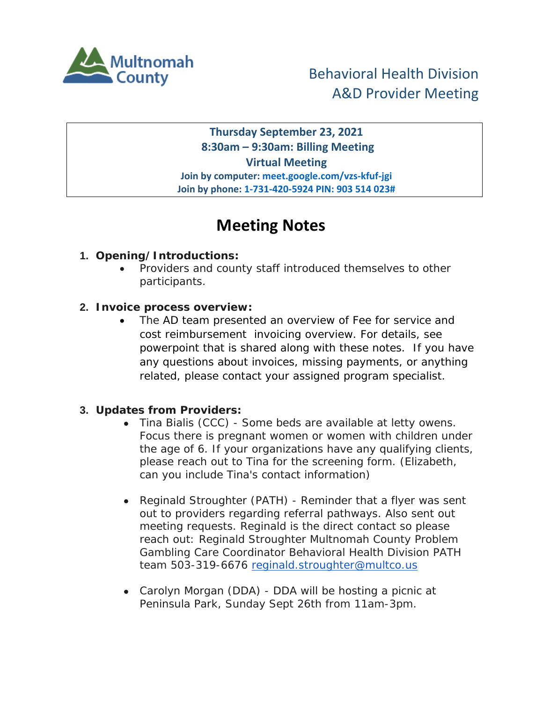

**Thursday September 23, 2021 8:30am – 9:30am: Billing Meeting Virtual Meeting Join by computer: meet.google.com/vzs-kfuf-jgi Join by phone: 1-731-420-5924 PIN: 903 514 023#**

## **Meeting Notes**

## **1. Opening/Introductions:**

• Providers and county staff introduced themselves to other participants.

## **2. Invoice process overview:**

The AD team presented an overview of Fee for service and cost reimbursement invoicing overview. For details, see powerpoint that is shared along with these notes. If you have any questions about invoices, missing payments, or anything related, please contact your assigned program specialist.

## **3. Updates from Providers:**

- Tina Bialis (CCC) Some beds are available at letty owens. Focus there is pregnant women or women with children under the age of 6. If your organizations have any qualifying clients, please reach out to Tina for the screening form. (Elizabeth, can you include Tina's contact information)
- Reginald Stroughter (PATH) Reminder that a flyer was sent out to providers regarding referral pathways. Also sent out meeting requests. Reginald is the direct contact so please reach out: Reginald Stroughter Multnomah County Problem Gambling Care Coordinator Behavioral Health Division PATH team 503-319-6676 [reginald.stroughter@multco.us](mailto:reginald.stroughter@multco.us)
- Carolyn Morgan (DDA) DDA will be hosting a picnic at Peninsula Park, Sunday Sept 26th from 11am-3pm.